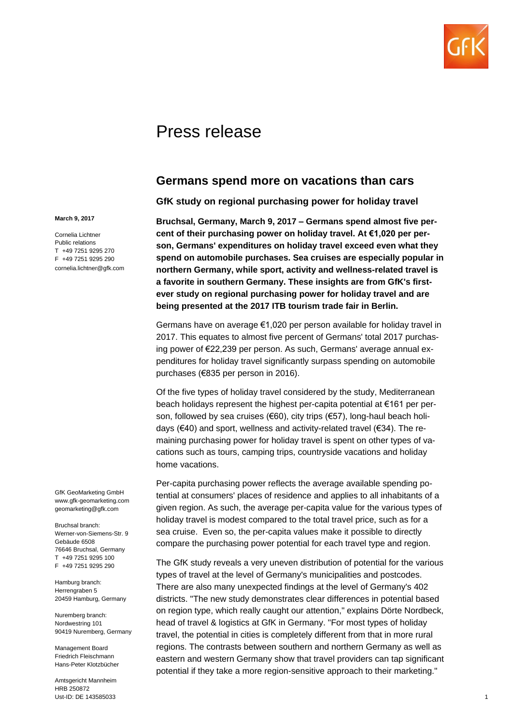

# Press release

## **Germans spend more on vacations than cars**

**GfK study on regional purchasing power for holiday travel**

**Bruchsal, Germany, March 9, 2017 – Germans spend almost five percent of their purchasing power on holiday travel. At €1,020 per person, Germans' expenditures on holiday travel exceed even what they spend on automobile purchases. Sea cruises are especially popular in northern Germany, while sport, activity and wellness-related travel is a favorite in southern Germany. These insights are from GfK's firstever study on regional purchasing power for holiday travel and are being presented at the 2017 ITB tourism trade fair in Berlin.**

Germans have on average €1,020 per person available for holiday travel in 2017. This equates to almost five percent of Germans' total 2017 purchasing power of €22,239 per person. As such, Germans' average annual expenditures for holiday travel significantly surpass spending on automobile purchases (€835 per person in 2016).

Of the five types of holiday travel considered by the study, Mediterranean beach holidays represent the highest per-capita potential at €161 per person, followed by sea cruises (€60), city trips (€57), long-haul beach holidays (€40) and sport, wellness and activity-related travel (€34). The remaining purchasing power for holiday travel is spent on other types of vacations such as tours, camping trips, countryside vacations and holiday home vacations.

Per-capita purchasing power reflects the average available spending potential at consumers' places of residence and applies to all inhabitants of a given region. As such, the average per-capita value for the various types of holiday travel is modest compared to the total travel price, such as for a sea cruise. Even so, the per-capita values make it possible to directly compare the purchasing power potential for each travel type and region.

The GfK study reveals a very uneven distribution of potential for the various types of travel at the level of Germany's municipalities and postcodes. There are also many unexpected findings at the level of Germany's 402 districts. "The new study demonstrates clear differences in potential based on region type, which really caught our attention," explains Dörte Nordbeck, head of travel & logistics at GfK in Germany. "For most types of holiday travel, the potential in cities is completely different from that in more rural regions. The contrasts between southern and northern Germany as well as eastern and western Germany show that travel providers can tap significant potential if they take a more region-sensitive approach to their marketing."

#### **March 9, 2017**

Cornelia Lichtner Public relations T +49 7251 9295 270 F +49 7251 9295 290 cornelia.lichtner@gfk.com

GfK GeoMarketing GmbH www.gfk-geomarketing.com geomarketing@gfk.com

Bruchsal branch: Werner-von-Siemens-Str. 9 Gebäude 6508 76646 Bruchsal, Germany T +49 7251 9295 100 F +49 7251 9295 290

Hamburg branch: Herrengraben 5 20459 Hamburg, Germany

Nuremberg branch: Nordwestring 101 90419 Nuremberg, Germany

Management Board Friedrich Fleischmann Hans-Peter Klotzbücher

Amtsgericht Mannheim HRB 250872 Ust-ID: DE 143585033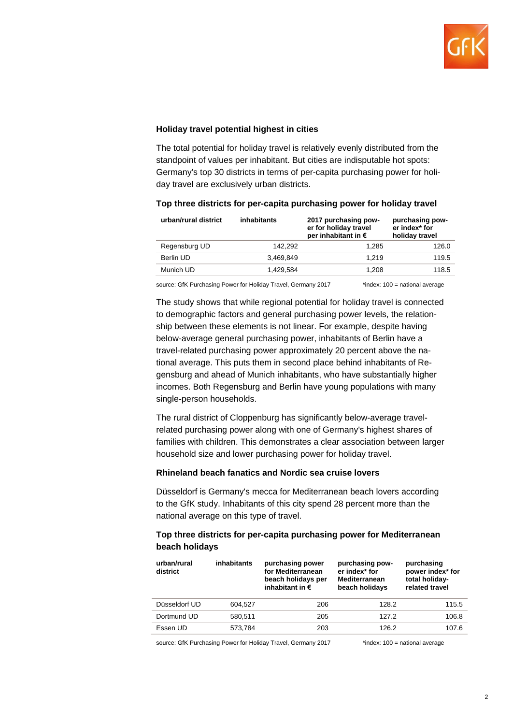

#### **Holiday travel potential highest in cities**

The total potential for holiday travel is relatively evenly distributed from the standpoint of values per inhabitant. But cities are indisputable hot spots: Germany's top 30 districts in terms of per-capita purchasing power for holiday travel are exclusively urban districts.

| urban/rural district | inhabitants | 2017 purchasing pow-<br>er for holiday travel<br>per inhabitant in $\epsilon$ | purchasing pow-<br>er index* for<br>holiday travel |
|----------------------|-------------|-------------------------------------------------------------------------------|----------------------------------------------------|
| Regensburg UD        | 142.292     | 1.285                                                                         | 126.0                                              |
| Berlin UD            | 3.469.849   | 1.219                                                                         | 119.5                                              |
| Munich UD            | 1.429.584   | 1.208                                                                         | 118.5                                              |

#### **Top three districts for per-capita purchasing power for holiday travel**

source: GfK Purchasing Power for Holiday Travel, Germany 2017 \* index: 100 = national average

The study shows that while regional potential for holiday travel is connected to demographic factors and general purchasing power levels, the relationship between these elements is not linear. For example, despite having below-average general purchasing power, inhabitants of Berlin have a travel-related purchasing power approximately 20 percent above the national average. This puts them in second place behind inhabitants of Regensburg and ahead of Munich inhabitants, who have substantially higher incomes. Both Regensburg and Berlin have young populations with many single-person households.

The rural district of Cloppenburg has significantly below-average travelrelated purchasing power along with one of Germany's highest shares of families with children. This demonstrates a clear association between larger household size and lower purchasing power for holiday travel.

#### **Rhineland beach fanatics and Nordic sea cruise lovers**

Düsseldorf is Germany's mecca for Mediterranean beach lovers according to the GfK study. Inhabitants of this city spend 28 percent more than the national average on this type of travel.

#### **Top three districts for per-capita purchasing power for Mediterranean beach holidays**

| urban/rural<br>district | inhabitants | purchasing power<br>for Mediterranean<br>beach holidays per<br>inhabitant in $\epsilon$ | purchasing pow-<br>er index* for<br><b>Mediterranean</b><br>beach holidays | purchasing<br>power index* for<br>total holiday-<br>related travel |
|-------------------------|-------------|-----------------------------------------------------------------------------------------|----------------------------------------------------------------------------|--------------------------------------------------------------------|
| Düsseldorf UD           | 604.527     | 206                                                                                     | 128.2                                                                      | 115.5                                                              |
| Dortmund UD             | 580.511     | 205                                                                                     | 127.2                                                                      | 106.8                                                              |
| Essen UD                | 573.784     | 203                                                                                     | 126.2                                                                      | 107.6                                                              |

source: GfK Purchasing Power for Holiday Travel, Germany 2017 \* index: 100 = national average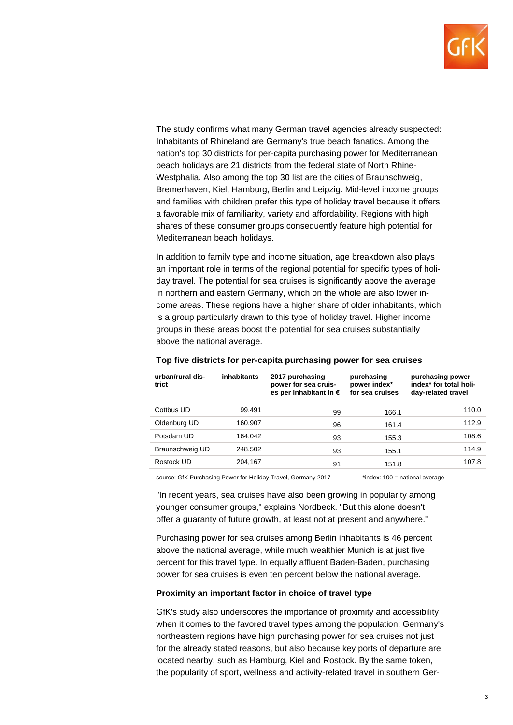

The study confirms what many German travel agencies already suspected: Inhabitants of Rhineland are Germany's true beach fanatics. Among the nation's top 30 districts for per-capita purchasing power for Mediterranean beach holidays are 21 districts from the federal state of North Rhine-Westphalia. Also among the top 30 list are the cities of Braunschweig, Bremerhaven, Kiel, Hamburg, Berlin and Leipzig. Mid-level income groups and families with children prefer this type of holiday travel because it offers a favorable mix of familiarity, variety and affordability. Regions with high shares of these consumer groups consequently feature high potential for Mediterranean beach holidays.

In addition to family type and income situation, age breakdown also plays an important role in terms of the regional potential for specific types of holiday travel. The potential for sea cruises is significantly above the average in northern and eastern Germany, which on the whole are also lower income areas. These regions have a higher share of older inhabitants, which is a group particularly drawn to this type of holiday travel. Higher income groups in these areas boost the potential for sea cruises substantially above the national average.

| urban/rural dis-<br>trict | inhabitants | 2017 purchasing<br>power for sea cruis-<br>es per inhabitant in $\epsilon$ | purchasing<br>power index*<br>for sea cruises | purchasing power<br>index* for total holi-<br>day-related travel |
|---------------------------|-------------|----------------------------------------------------------------------------|-----------------------------------------------|------------------------------------------------------------------|
| Cottbus UD                | 99.491      | 99                                                                         | 166.1                                         | 110.0                                                            |
| Oldenburg UD              | 160.907     | 96                                                                         | 161.4                                         | 112.9                                                            |
| Potsdam UD                | 164.042     | 93                                                                         | 155.3                                         | 108.6                                                            |
| Braunschweig UD           | 248,502     | 93                                                                         | 155.1                                         | 114.9                                                            |
| Rostock UD                | 204.167     | 91                                                                         | 151.8                                         | 107.8                                                            |
|                           |             |                                                                            |                                               |                                                                  |

#### **Top five districts for per-capita purchasing power for sea cruises**

source: GfK Purchasing Power for Holiday Travel, Germany 2017 \* index: 100 = national average

"In recent years, sea cruises have also been growing in popularity among younger consumer groups," explains Nordbeck. "But this alone doesn't offer a guaranty of future growth, at least not at present and anywhere."

Purchasing power for sea cruises among Berlin inhabitants is 46 percent above the national average, while much wealthier Munich is at just five percent for this travel type. In equally affluent Baden-Baden, purchasing power for sea cruises is even ten percent below the national average.

#### **Proximity an important factor in choice of travel type**

GfK's study also underscores the importance of proximity and accessibility when it comes to the favored travel types among the population: Germany's northeastern regions have high purchasing power for sea cruises not just for the already stated reasons, but also because key ports of departure are located nearby, such as Hamburg, Kiel and Rostock. By the same token, the popularity of sport, wellness and activity-related travel in southern Ger-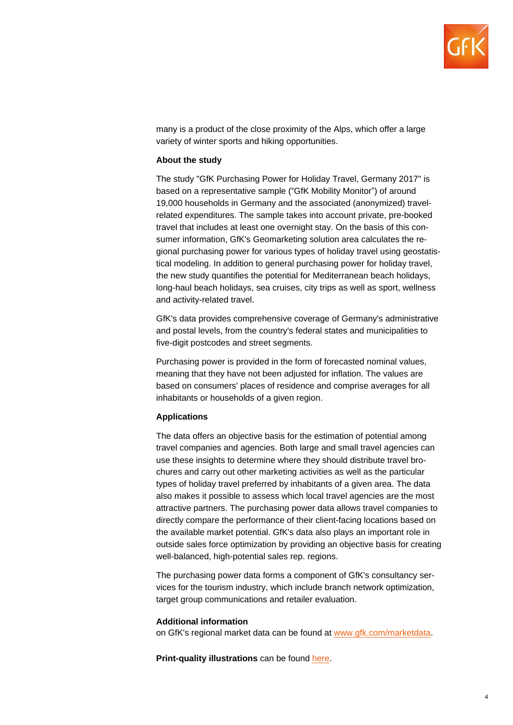

many is a product of the close proximity of the Alps, which offer a large variety of winter sports and hiking opportunities.

#### **About the study**

The study "GfK Purchasing Power for Holiday Travel, Germany 2017" is based on a representative sample ("GfK Mobility Monitor") of around 19,000 households in Germany and the associated (anonymized) travelrelated expenditures. The sample takes into account private, pre-booked travel that includes at least one overnight stay. On the basis of this consumer information, GfK's Geomarketing solution area calculates the regional purchasing power for various types of holiday travel using geostatistical modeling. In addition to general purchasing power for holiday travel, the new study quantifies the potential for Mediterranean beach holidays, long-haul beach holidays, sea cruises, city trips as well as sport, wellness and activity-related travel.

GfK's data provides comprehensive coverage of Germany's administrative and postal levels, from the country's federal states and municipalities to five-digit postcodes and street segments.

Purchasing power is provided in the form of forecasted nominal values, meaning that they have not been adjusted for inflation. The values are based on consumers' places of residence and comprise averages for all inhabitants or households of a given region.

#### **Applications**

The data offers an objective basis for the estimation of potential among travel companies and agencies. Both large and small travel agencies can use these insights to determine where they should distribute travel brochures and carry out other marketing activities as well as the particular types of holiday travel preferred by inhabitants of a given area. The data also makes it possible to assess which local travel agencies are the most attractive partners. The purchasing power data allows travel companies to directly compare the performance of their client-facing locations based on the available market potential. GfK's data also plays an important role in outside sales force optimization by providing an objective basis for creating well-balanced, high-potential sales rep. regions.

The purchasing power data forms a component of GfK's consultancy services for the tourism industry, which include branch network optimization, target group communications and retailer evaluation.

#### **Additional information**

on GfK's regional market data can be found at [www.gfk.com/marketdata.](http://www.gfk.com/marktdaten)

**Print-quality illustrations** can be found [here.](http://www.gfk.com/fileadmin/user_upload/dyna_content/Global/documents/Press_Releases/2017/pp-travel.zip)